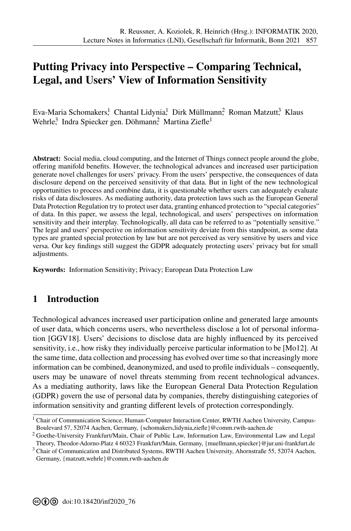# **[P](#page--1-0)utting Privacy into Perspective – Comparing Technical, Legal, and Users' View of Information Sensitivity**

Eva-Maria Schomakers<sup>1</sup>, Chantal Lidynia<sup>1</sup>, Dirk Müllmann? Roman Matzutt<sup>3</sup>, Klaus Wehrle<sup>3</sup> Indra Spiecker gen. Döhmann<sup>2</sup> Martina Ziefle<sup>1</sup>

**Abstract:** Social media, cloud computing, and the Internet of Things connect people around the globe, offering manifold benefits. However, the technological advances and increased user participation generate novel challenges for users' privacy. From the users' perspective, the consequences of data disclosure depend on the perceived sensitivity of that data. But in light of the new technological opportunities to process and combine data, it is questionable whether users can adequately evaluate risks of data disclosures. As mediating authority, data protection laws such as the European General Data Protection Regulation try to protect user data, granting enhanced protection to "special categories" of data. In this paper, we assess the legal, technological, and users' perspectives on information sensitivity and their interplay. Technologically, all data can be referred to as "potentially sensitive." The legal and users' perspective on information sensitivity deviate from this standpoint, as some data types are granted special protection by law but are not perceived as very sensitive by users and vice versa. Our key findings still suggest the GDPR adequately protecting users' privacy but for small adjustments.

**Keywords:** Information Sensitivity; Privacy; European Data Protection Law

### **1 Introduction**

Technological advances increased user participation online and generated large amounts of user data, which concerns users, who nevertheless disclose a lot of personal information [\[GGV18\]](#page-11-0). Users' decisions to disclose data are highly influenced by its perceived sensitivity, i.e., how risky they individually perceive particular information to be [\[Mo12\]](#page-12-0). At the same time, data collection and processing has evolved over time so that increasingly more information can be combined, deanonymized, and used to profile individuals – consequently, users may be unaware of novel threats stemming from recent technological advances. As a mediating authority, laws like the European General Data Protection Regulation (GDPR) govern the use of personal data by companies, thereby distinguishing categories of information sensitivity and granting different levels of protection correspondingly.

<sup>&</sup>lt;sup>1</sup> Chair of Communication Science, Human-Computer Interaction Center, RWTH Aachen University, Campus-Boulevard 57, 52074 Aachen, Germany, [{schomakers](mailto:schomakers@comm.rwth-aachen.de)[,lidynia,](mailto:lidynia@comm.rwth-aachen.de)[ziefle}](mailto:ziefle@comm.rwth-aachen.de)@comm.rwth-aachen.de

<sup>2</sup> Goethe-University Frankfurt/Main, Chair of Public Law, Information Law, Environmental Law and Legal

Theory, Theodor-Adorno-Platz 4 60323 Frankfurt/Main, Germany, [{muellmann,](mailto:muellmann@jur.uni-frankfurt.de)[spiecker}](mailto:spiecker@jur.uni-frankfurt.de)@jur.uni-frankfurt.de  $3$  Chair of Communication and Distributed Systems, RWTH Aachen University, Ahornstraße 55, 52074 Aachen, Germany, [{matzutt](mailto:matzutt@comm.rwth-aachen.de)[,wehrle}](mailto:wehrle@comm.rwth-aachen.de)@comm.rwth-aachen.de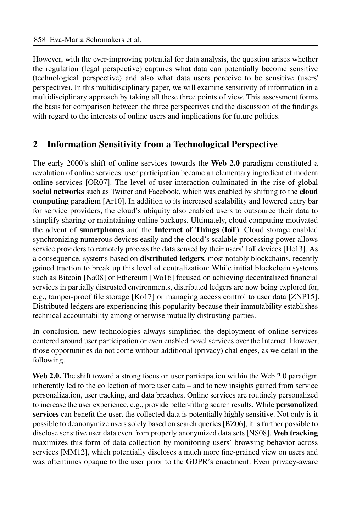However, with the ever-improving potential for data analysis, the question arises whether the regulation (legal perspective) captures what data can potentially become sensitive (technological perspective) and also what data users perceive to be sensitive (users' perspective). In this multidisciplinary paper, we will examine sensitivity of information in a multidisciplinary approach by taking all these three points of view. This assessment forms the basis for comparison between the three perspectives and the discussion of the findings with regard to the interests of online users and implications for future politics.

## **2 Information Sensitivity from a Technological Perspective**

The early 2000's shift of online services towards the **Web 2.0** paradigm constituted a revolution of online services; user participation became an elementary ingredient of modern online services [\[OR07\]](#page-12-1). The level of user interaction culminated in the rise of global **social networks** such as Twitter and Facebook, which was enabled by shifting to the **cloud computing** paradigm [\[Ar10\]](#page-10-0). In addition to its increased scalability and lowered entry bar for service providers, the cloud's ubiquity also enabled users to outsource their data to simplify sharing or maintaining online backups. Ultimately, cloud computing motivated the advent of **smartphones** and the **Internet of Things (IoT)**. Cloud storage enabled synchronizing numerous devices easily and the cloud's scalable processing power allows service providers to remotely process the data sensed by their users' IoT devices [He13]. As a consequence, systems based on **distributed ledgers**, most notably blockchains, recently gained traction to break up this level of centralization: While initial blockchain systems such as Bitcoin [\[Na08\]](#page-12-2) or Ethereum [\[Wo16\]](#page-13-0) focused on achieving decentralized financial services in partially distrusted environments, distributed ledgers are now being explored for, e.g., tamper-proof file storage [\[Ko17\]](#page-11-2) or managing access control to user data [\[ZNP15\]](#page-13-1). Distributed ledgers are experiencing this popularity because their immutability establishes technical accountability among otherwise mutually distrusting parties.

In conclusion, new technologies always simplified the deployment of online services centered around user participation or even enabled novel services over the Internet. However, those opportunities do not come without additional (privacy) challenges, as we detail in the following.

**Web 2.0.** The shift toward a strong focus on user participation within the Web 2.0 paradigm inherently led to the collection of more user data – and to new insights gained from service personalization, user tracking, and data breaches. Online services are routinely personalized to increase the user experience, e.g., provide better-fitting search results. While **personalized services** can benefit the user, the collected data is potentially highly sensitive. Not only is it possible to deanonymize users solely based on search queries [\[BZ06\]](#page-10-1), it is further possible to disclose sensitive user data even from properly anonymized data sets [\[NS08\]](#page-12-3). **Web tracking** maximizes this form of data collection by monitoring users' browsing behavior across services [\[MM12\]](#page-12-4), which potentially discloses a much more fine-grained view on users and was oftentimes opaque to the user prior to the GDPR's enactment. Even privacy-aware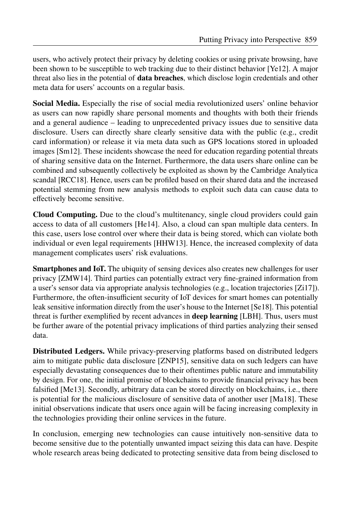users, who actively protect their privacy by deleting cookies or using private browsing, have been shown to be susceptible to web tracking due to their distinct behavior [\[Ye12\]](#page-13-2). A major threat also lies in the potential of **data breaches**, which disclose login credentials and other meta data for users' accounts on a regular basis.

**Social Media.** Especially the rise of social media revolutionized users' online behavior as users can now rapidly share personal moments and thoughts with both their friends and a general audience – leading to unprecedented privacy issues due to sensitive data disclosure. Users can directly share clearly sensitive data with the public (e.g., credit card information) or release it via meta data such as GPS locations stored in uploaded images [\[Sm12\]](#page-13-3). These incidents showcase the need for education regarding potential threats of sharing sensitive data on the Internet. Furthermore, the data users share online can be combined and subsequently collectively be exploited as shown by the Cambridge Analytica scandal [\[RCC18\]](#page-12-5). Hence, users can be profiled based on their shared data and the increased potential stemming from new analysis methods to exploit such data can cause data to effectively become sensitive.

**Cloud Computing.** Due to the cloud's multitenancy, single cloud providers could gain access to data of all customers [He14]. Also, a cloud can span multiple data centers. In this case, users lose control over where their data is being stored, which can violate both individual or even legal requirements [HHW13]. Hence, the increased complexity of data management complicates users' risk evaluations.

**Smartphones and IoT.** The ubiquity of sensing devices also creates new challenges for user privacy [ZMW14]. Third parties can potentially extract very fine-grained information from a user's sensor data via appropriate analysis technologies (e.g., location trajectories [\[Zi17\]](#page-13-5)). Furthermore, the often-insufficient security of IoT devices for smart homes can potentially leak sensitive information directly from the user's house to the Internet [\[Se18\]](#page-12-6). This potential threat is further exemplified by recent advances in **deep learning** [\[LBH\]](#page-11-5). Thus, users must be further aware of the potential privacy implications of third parties analyzing their sensed data.

**Distributed Ledgers.** While privacy-preserving platforms based on distributed ledgers aim to mitigate public data disclosure [\[ZNP15\]](#page-13-1), sensitive data on such ledgers can have especially devastating consequences due to their oftentimes public nature and immutability by design. For one, the initial promise of blockchains to provide financial privacy has been falsified [Me13]. Secondly, arbitrary data can be stored directly on blockchains, i.e., there is potential for the malicious disclosure of sensitive data of another user [\[Ma18\]](#page-11-7). These initial observations indicate that users once again will be facing increasing complexity in the technologies providing their online services in the future.

In conclusion, emerging new technologies can cause intuitively non-sensitive data to become sensitive due to the potentially unwanted impact seizing this data can have. Despite whole research areas being dedicated to protecting sensitive data from being disclosed to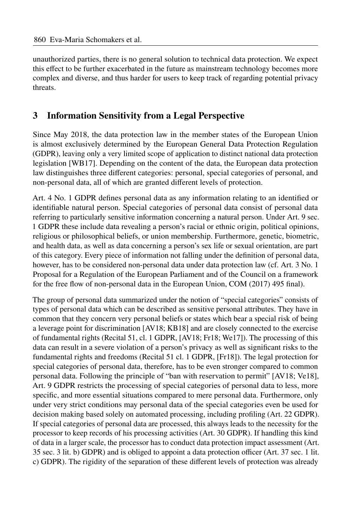unauthorized parties, there is no general solution to technical data protection. We expect this effect to be further exacerbated in the future as mainstream technology becomes more complex and diverse, and thus harder for users to keep track of regarding potential privacy threats.

# **3 Information Sensitivity from a Legal Perspective**

Since May 2018, the data protection law in the member states of the European Union is almost exclusively determined by the European General Data Protection Regulation (GDPR), leaving only a very limited scope of application to distinct national data protection legislation [\[WB17\]](#page-13-6). Depending on the content of the data, the European data protection law distinguishes three different categories: personal, special categories of personal, and non-personal data, all of which are granted different levels of protection.

Art. 4 No. 1 GDPR defines personal data as any information relating to an identified or identifiable natural person. Special categories of personal data consist of personal data referring to particularly sensitive information concerning a natural person. Under Art. 9 sec. 1 GDPR these include data revealing a person's racial or ethnic origin, political opinions, religious or philosophical beliefs, or union membership. Furthermore, genetic, biometric, and health data, as well as data concerning a person's sex life or sexual orientation, are part of this category. Every piece of information not falling under the definition of personal data, however, has to be considered non-personal data under data protection law (cf. Art. 3 No. 1) Proposal for a Regulation of the European Parliament and of the Council on a framework for the free flow of non-personal data in the European Union, COM (2017) 495 final).

The group of personal data summarized under the notion of "special categories" consists of types of personal data which can be described as sensitive personal attributes. They have in common that they concern very personal beliefs or states which bear a special risk of being a leverage point for discrimination [\[AV18;](#page-10-2) [KB18\]](#page-11-8) and are closely connected to the exercise of fundamental rights (Recital 51, cl. 1 GDPR, [\[AV18;](#page-10-2) [Fr18;](#page-10-3) [We17\]](#page-13-7)). The processing of this data can result in a severe violation of a person's privacy as well as significant risks to the fundamental rights and freedoms (Recital 51 cl. 1 GDPR, [\[Fr18\]](#page-10-3)). The legal protection for special categories of personal data, therefore, has to be even stronger compared to common personal data. Following the principle of "ban with reservation to permit" [\[AV18;](#page-10-2) [Ve18\]](#page-13-8), Art. 9 GDPR restricts the processing of special categories of personal data to less, more specific, and more essential situations compared to mere personal data. Furthermore, only under very strict conditions may personal data of the special categories even be used for decision making based solely on automated processing, including profiling (Art. 22 GDPR). If special categories of personal data are processed, this always leads to the necessity for the processor to keep records of his processing activities (Art. 30 GDPR). If handling this kind of data in a larger scale, the processor has to conduct data protection impact assessment (Art. 35 sec. 3 lit. b) GDPR) and is obliged to appoint a data protection officer (Art. 37 sec. 1 lit. c) GDPR). The rigidity of the separation of these different levels of protection was already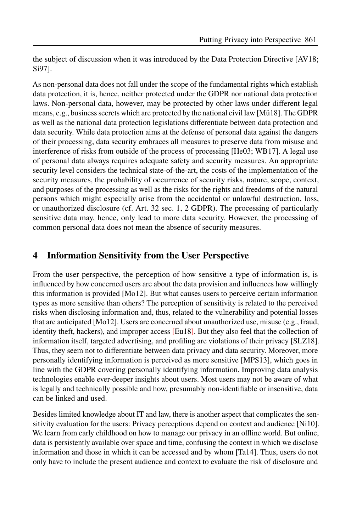the subject of discussion when it was introduced by the Data Protection Directive [\[AV18;](#page-10-2) [Si97\]](#page-13-9).

As non-personal data does not fall under the scope of the fundamental rights which establish data protection, it is, hence, neither protected under the GDPR nor national data protection laws. Non-personal data, however, may be protected by other laws under different legal means, e.g., business secrets which are protected by the national civil law [\[Mü18\]](#page-12-7). The GDPR as well as the national data protection legislations differentiate between data protection and data security. While data protection aims at the defense of personal data against the dangers of their processing, data security embraces all measures to preserve data from misuse and interference of risks from outside of the process of processing  $[He03; WB17]$  $[He03; WB17]$ . A legal use of personal data always requires adequate safety and security measures. An appropriate security level considers the technical state-of-the-art, the costs of the implementation of the security measures, the probability of occurrence of security risks, nature, scope, context, and purposes of the processing as well as the risks for the rights and freedoms of the natural persons which might especially arise from the accidental or unlawful destruction, loss, or unauthorized disclosure (cf. Art. 32 sec. 1, 2 GDPR). The processing of particularly sensitive data may, hence, only lead to more data security. However, the processing of common personal data does not mean the absence of security measures.

### **4 Information Sensitivity from the User Perspective**

From the user perspective, the perception of how sensitive a type of information is, is influenced by how concerned users are about the data provision and influences how willingly this information is provided [\[Mo12\]](#page-12-0). But what causes users to perceive certain information types as more sensitive than others? The perception of sensitivity is related to the perceived risks when disclosing information and, thus, related to the vulnerability and potential losses that are anticipated [\[Mo12\]](#page-12-0). Users are concerned about unauthorized use, misuse (e.g., fraud, identity theft, hackers), and improper access [\[Eu18\]](#page-10-4). But they also feel that the collection of information itself, targeted advertising, and profiling are violations of their privacy [\[SLZ18\]](#page-13-10). Thus, they seem not to differentiate between data privacy and data security. Moreover, more personally identifying information is perceived as more sensitive [MPS13], which goes in line with the GDPR covering personally identifying information. Improving data analysis technologies enable ever-deeper insights about users. Most users may not be aware of what is legally and technically possible and how, presumably non-identifiable or insensitive, data can be linked and used.

Besides limited knowledge about IT and law, there is another aspect that complicates the sen-sitivity evaluation for the users: Privacy perceptions depend on context and audience [\[Ni10\]](#page-12-9). We learn from early childhood on how to manage our privacy in an offline world. But online, data is persistently available over space and time, confusing the context in which we disclose information and those in which it can be accessed and by whom  $[Ta14]$ . Thus, users do not only have to include the present audience and context to evaluate the risk of disclosure and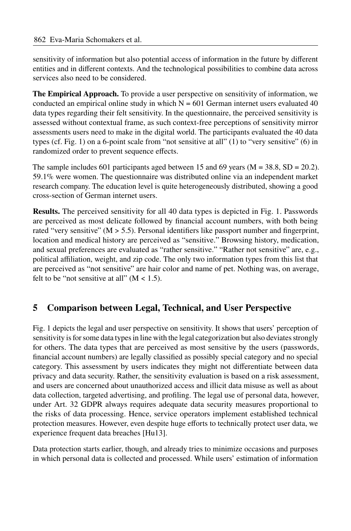sensitivity of information but also potential access of information in the future by different entities and in different contexts. And the technological possibilities to combine data across services also need to be considered.

**The Empirical Approach.** To provide a user perspective on sensitivity of information, we conducted an empirical online study in which  $N = 601$  German internet users evaluated 40 data types regarding their felt sensitivity. In the questionnaire, the perceived sensitivity is assessed without contextual frame, as such context-free perceptions of sensitivity mirror assessments users need to make in the digital world. The participants evaluated the 40 data types (cf. Fig. [1\)](#page-6-0) on a 6-point scale from "not sensitive at all" (1) to "very sensitive" (6) in randomized order to prevent sequence effects.

The sample includes 601 participants aged between 15 and 69 years ( $M = 38.8$ , SD = 20.2). 59.1% were women. The questionnaire was distributed online via an independent market research company. The education level is quite heterogeneously distributed, showing a good cross-section of German internet users.

**Results.** The perceived sensitivity for all 40 data types is depicted in Fig. [1.](#page-6-0) Passwords are perceived as most delicate followed by financial account numbers, with both being rated "very sensitive"  $(M > 5.5)$ . Personal identifiers like passport number and fingerprint, location and medical history are perceived as "sensitive." Browsing history, medication, and sexual preferences are evaluated as "rather sensitive." "Rather not sensitive" are, e.g., political affiliation, weight, and zip code. The only two information types from this list that are perceived as "not sensitive" are hair color and name of pet. Nothing was, on average, felt to be "not sensitive at all"  $(M < 1.5)$ .

### **5 Comparison between Legal, Technical, and User Perspective**

Fig. [1](#page-6-0) depicts the legal and user perspective on sensitivity. It shows that users' perception of sensitivity is for some data types in line with the legal categorization but also deviates strongly for others. The data types that are perceived as most sensitive by the users (passwords, financial account numbers) are legally classified as possibly special category and no special category. This assessment by users indicates they might not differentiate between data privacy and data security. Rather, the sensitivity evaluation is based on a risk assessment, and users are concerned about unauthorized access and illicit data misuse as well as about data collection, targeted advertising, and profiling. The legal use of personal data, however, under Art. 32 GDPR always requires adequate data security measures proportional to the risks of data processing. Hence, service operators implement established technical protection measures. However, even despite huge efforts to technically protect user data, we experience frequent data breaches [Hu13].

Data protection starts earlier, though, and already tries to minimize occasions and purposes in which personal data is collected and processed. While users' estimation of information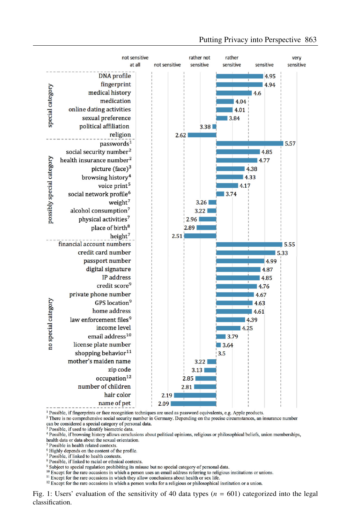<span id="page-6-0"></span>

#### Putting Privacy into Perspective 863

 $\frac{1}{2}$  Possible, if fingerprints or face recognition techniques are used as password equivalents, e.g. Apple products.

<sup>2</sup> There is no comprehensive social security number in Germany. Depending on the precise circumstances, an insurance number can be considered a special category of personal data.

<sup>3</sup> Possible, if used to identify biometric data

<sup>4</sup> Possible, if browsing history allows conclusions about political opinions, religious or philosophical beliefs, union memberships, health data or data about the sexual orientation.

<sup>5</sup> Possible in health related contexts

<sup>7</sup> Possible, if linked to health contexts.

<sup>8</sup> Possible, if linked to racial or ethnical contexts.

<sup>9</sup> Subject to special regulation prohibiting its misuse but no special category of personal data.

<sup>10</sup> Except for the rare occasions in which a person uses an email address referring to religious institutions or unions.

<sup>11</sup> Except for the rare occasions in which they allow conclusions about health or sex life.

 $12$  Except for the rare occasions in which a person works for a religious or philosophical institution or a union.

Fig. 1; Users' evaluation of the sensitivity of 40 data types ( $n = 601$ ) categorized into the legal classification.

<sup>&</sup>lt;sup>6</sup> Highly depends on the content of the profile.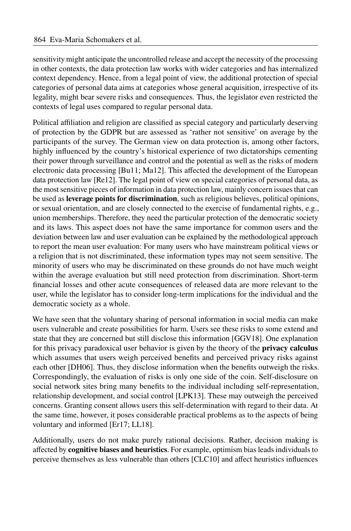sensitivity might anticipate the uncontrolled release and accept the necessity of the processing in other contexts, the data protection law works with wider categories and has internalized context dependency. Hence, from a legal point of view, the additional protection of special categories of personal data aims at categories whose general acquisition, irrespective of its legality, might bear severe risks and consequences. Thus, the legislator even restricted the contexts of legal uses compared to regular personal data.

Political affiliation and religion are classified as special category and particularly deserving of protection by the GDPR but are assessed as 'rather not sensitive' on average by the participants of the survey. The German view on data protection is, among other factors, highly influenced by the country's historical experience of two dictatorships cementing their power through surveillance and control and the potential as well as the risks of modern electronic data processing [\[Bu11;](#page-10-5) [Ma12\]](#page-11-11). This affected the development of the European data protection law [\[Re12\]](#page-12-10). The legal point of view on special categories of personal data, as the most sensitive pieces of information in data protection law, mainly concern issues that can be used as **leverage points for discrimination**, such as religious believes, political opinions, or sexual orientation, and are closely connected to the exercise of fundamental rights, e.g., union memberships. Therefore, they need the particular protection of the democratic society and its laws. This aspect does not have the same importance for common users and the deviation between law and user evaluation can be explained by the methodological approach to report the mean user evaluation: For many users who have mainstream political views or a religion that is not discriminated, these information types may not seem sensitive. The minority of users who may be discriminated on these grounds do not have much weight within the average evaluation but still need protection from discrimination. Short-term financial losses and other acute consequences of released data are more relevant to the user, while the legislator has to consider long-term implications for the individual and the democratic society as a whole.

We have seen that the voluntary sharing of personal information in social media can make users vulnerable and create possibilities for harm. Users see these risks to some extend and state that they are concerned but still disclose this information [\[GGV18\]](#page-11-0). One explanation for this privacy paradoxical user behavior is given by the theory of the **privacy calculus** which assumes that users weigh perceived benefits and perceived privacy risks against each other [\[DH06\]](#page-10-6). Thus, they disclose information when the benefits outweigh the risks. Correspondingly, the evaluation of risks is only one side of the coin. Self-disclosure on social network sites bring many benefits to the individual including self-representation, relationship development, and social control [LPK13]. These may outweigh the perceived concerns. Granting consent allows users this self-determination with regard to their data. At the same time, however, it poses considerable practical problems as to the aspects of being voluntary and informed [\[Er17;](#page-10-7) [LL18\]](#page-11-13).

Additionally, users do not make purely rational decisions. Rather, decision making is affected by **cognitive biases and heuristics**. For example, optimism bias leads individuals to perceive themselves as less vulnerable than others [\[CLC10\]](#page-10-8) and affect heuristics influences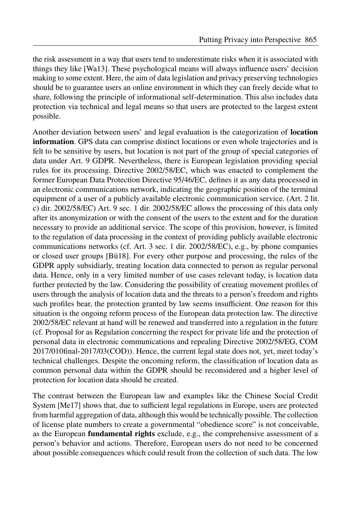the risk assessment in a way that users tend to underestimate risks when it is associated with things they like [Wa13]. These psychological means will always influence users' decision making to some extent. Here, the aim of data legislation and privacy preserving technologies should be to guarantee users an online environment in which they can freely decide what to share, following the principle of informational self-determination. This also includes data protection via technical and legal means so that users are protected to the largest extent possible.

Another deviation between users' and legal evaluation is the categorization of **location information**. GPS data can comprise distinct locations or even whole trajectories and is felt to be sensitive by users, but location is not part of the group of special categories of data under Art. 9 GDPR. Nevertheless, there is European legislation providing special rules for its processing. Directive 2002/58/EC, which was enacted to complement the former European Data Protection Directive 95/46/EC, defines it as any data processed in an electronic communications network, indicating the geographic position of the terminal equipment of a user of a publicly available electronic communication service. (Art. 2 lit. c) dir. 2002/58/EC) Art. 9 sec. 1 dir. 2002/58/EC allows the processing of this data only after its anonymization or with the consent of the users to the extent and for the duration necessary to provide an additional service. The scope of this provision, however, is limited to the regulation of data processing in the context of providing publicly available electronic communications networks (cf. Art. 3 sec. 1 dir.  $2002/58/EC$ ), e.g., by phone companies or closed user groups [\[Bü18\]](#page-10-9). For every other purpose and processing, the rules of the GDPR apply subsidiarly, treating location data connected to person as regular personal data. Hence, only in a very limited number of use cases relevant today, is location data further protected by the law. Considering the possibility of creating movement profiles of users through the analysis of location data and the threats to a person's freedom and rights such profiles bear, the protection granted by law seems insufficient. One reason for this situation is the ongoing reform process of the European data protection law. The directive 2002/58/EC relevant at hand will be renewed and transferred into a regulation in the future (cf. Proposal for as Regulation concerning the respect for private life and the protection of personal data in electronic communications and repealing Directive 2002/58/EG, COM 2017/010final-2017/03(COD)). Hence, the current legal state does not, yet, meet today's technical challenges. Despite the oncoming reform, the classification of location data as common personal data within the GDPR should be reconsidered and a higher level of protection for location data should be created.

The contrast between the European law and examples like the Chinese Social Credit System [\[Me17\]](#page-12-11) shows that, due to sufficient legal regulations in Europe, users are protected from harmful aggregation of data, although this would be technically possible. The collection of license plate numbers to create a governmental "obedience score" is not conceivable, as the European **fundamental rights** exclude, e.g., the comprehensive assessment of a person's behavior and actions. Therefore, European users do not need to be concerned about possible consequences which could result from the collection of such data. The low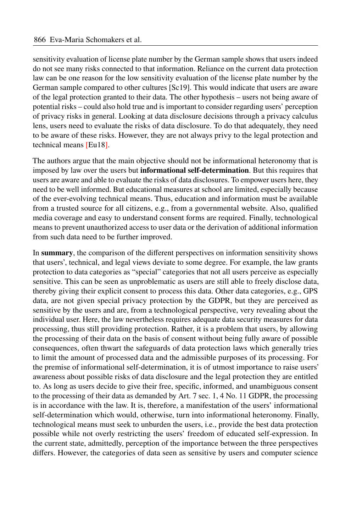sensitivity evaluation of license plate number by the German sample shows that users indeed do not see many risks connected to that information. Reliance on the current data protection law can be one reason for the low sensitivity evaluation of the license plate number by the German sample compared to other cultures [\[Sc19\]](#page-12-12). This would indicate that users are aware of the legal protection granted to their data. The other hypothesis – users not being aware of potential risks – could also hold true and is important to consider regarding users' perception of privacy risks in general. Looking at data disclosure decisions through a privacy calculus lens, users need to evaluate the risks of data disclosure. To do that adequately, they need to be aware of these risks. However, they are not always privy to the legal protection and technical means [\[Eu18\]](#page-10-4).

The authors argue that the main objective should not be informational heteronomy that is imposed by law over the users but **informational self-determination**. But this requires that users are aware and able to evaluate the risks of data disclosures. To empower users here, they need to be well informed. But educational measures at school are limited, especially because of the ever-evolving technical means. Thus, education and information must be available from a trusted source for all citizens, e.g., from a governmental website. Also, qualified media coverage and easy to understand consent forms are required. Finally, technological means to prevent unauthorized access to user data or the derivation of additional information from such data need to be further improved.

In **summary**, the comparison of the different perspectives on information sensitivity shows that users', technical, and legal views deviate to some degree. For example, the law grants protection to data categories as "special" categories that not all users perceive as especially sensitive. This can be seen as unproblematic as users are still able to freely disclose data, thereby giving their explicit consent to process this data. Other data categories, e.g., GPS data, are not given special privacy protection by the GDPR, but they are perceived as sensitive by the users and are, from a technological perspective, very revealing about the individual user. Here, the law nevertheless requires adequate data security measures for data processing, thus still providing protection. Rather, it is a problem that users, by allowing the processing of their data on the basis of consent without being fully aware of possible consequences, often thwart the safeguards of data protection laws which generally tries to limit the amount of processed data and the admissible purposes of its processing. For the premise of informational self-determination, it is of utmost importance to raise users' awareness about possible risks of data disclosure and the legal protection they are entitled to. As long as users decide to give their free, specific, informed, and unambiguous consent to the processing of their data as demanded by Art.  $7 \text{ sec. } 1$ ,  $4 \text{ No. } 11 \text{ GDPR}$ , the processing is in accordance with the law. It is, therefore, a manifestation of the users' informational self-determination which would, otherwise, turn into informational heteronomy. Finally, technological means must seek to unburden the users, i.e., provide the best data protection possible while not overly restricting the users' freedom of educated self-expression. In the current state, admittedly, perception of the importance between the three perspectives differs. However, the categories of data seen as sensitive by users and computer science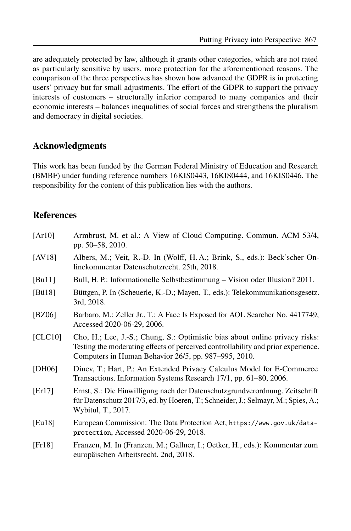are adequately protected by law, although it grants other categories, which are not rated as particularly sensitive by users, more protection for the aforementioned reasons. The comparison of the three perspectives has shown how advanced the GDPR is in protecting users' privacy but for small adjustments. The effort of the GDPR to support the privacy interests of customers – structurally inferior compared to many companies and their economic interests – balances inequalities of social forces and strengthens the pluralism and democracy in digital societies.

#### **Acknowledgments**

This work has been funded by the German Federal Ministry of Education and Research (BMBF) under funding reference numbers 16KIS0443, 16KIS0444, and 16KIS0446. The responsibility for the content of this publication lies with the authors.

#### **References**

<span id="page-10-9"></span><span id="page-10-8"></span><span id="page-10-7"></span><span id="page-10-6"></span><span id="page-10-5"></span><span id="page-10-4"></span><span id="page-10-3"></span><span id="page-10-2"></span><span id="page-10-1"></span><span id="page-10-0"></span>

| [Ar10]  | Armbrust, M. et al.: A View of Cloud Computing. Commun. ACM 53/4,<br>pp. 50–58, 2010.                                                                                                                                    |
|---------|--------------------------------------------------------------------------------------------------------------------------------------------------------------------------------------------------------------------------|
| [AV18]  | Albers, M.; Veit, R.-D. In (Wolff, H.A.; Brink, S., eds.): Beck'scher On-<br>linekommentar Datenschutzrecht. 25th, 2018.                                                                                                 |
| [Bul1]  | Bull, H. P.: Informationelle Selbstbestimmung – Vision oder Illusion? 2011.                                                                                                                                              |
| [Bü18]  | Büttgen, P. In (Scheuerle, K.-D.; Mayen, T., eds.): Telekommunikationsgesetz.<br>3rd, 2018.                                                                                                                              |
| [BZ06]  | Barbaro, M.; Zeller Jr., T.: A Face Is Exposed for AOL Searcher No. 4417749,<br>Accessed 2020-06-29, 2006.                                                                                                               |
| [CLC10] | Cho, H.; Lee, J.-S.; Chung, S.: Optimistic bias about online privacy risks:<br>Testing the moderating effects of perceived controllability and prior experience.<br>Computers in Human Behavior 26/5, pp. 987–995, 2010. |
| [DH06]  | Diney, T.; Hart, P.: An Extended Privacy Calculus Model for E-Commerce<br>Transactions. Information Systems Research 17/1, pp. 61–80, 2006.                                                                              |
| [Er17]  | Ernst, S.: Die Einwilligung nach der Datenschutzgrundverordnung. Zeitschrift<br>für Datenschutz 2017/3, ed. by Hoeren, T.; Schneider, J.; Selmayr, M.; Spies, A.;<br>Wybitul, T., 2017.                                  |
| [Eu18]  | European Commission: The Data Protection Act, https://www.gov.uk/data-<br>protection, Accessed 2020-06-29, 2018.                                                                                                         |
| [Fr18]  | Franzen, M. In (Franzen, M.; Gallner, I.; Oetker, H., eds.): Kommentar zum<br>europäischen Arbeitsrecht. 2nd, 2018.                                                                                                      |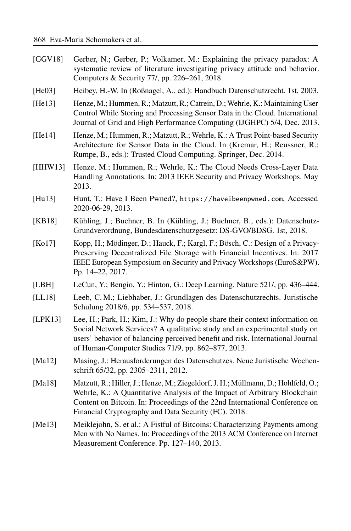<span id="page-11-13"></span><span id="page-11-12"></span><span id="page-11-11"></span><span id="page-11-10"></span><span id="page-11-9"></span><span id="page-11-8"></span><span id="page-11-7"></span><span id="page-11-6"></span><span id="page-11-5"></span><span id="page-11-4"></span><span id="page-11-3"></span><span id="page-11-2"></span><span id="page-11-1"></span><span id="page-11-0"></span>[GGV18] Gerber, N.; Gerber, P.; Volkamer, M.: Explaining the privacy paradox: A systematic review of literature investigating privacy attitude and behavior. Computers & Security 77/, pp. 226–261, 2018. [He03] Heibey, H.-W. In (Roßnagel, A., ed.); Handbuch Datenschutzrecht. 1st, 2003. [He13] Henze, M.; Hummen, R.; Matzutt, R.; Catrein, D.; Wehrle, K.: Maintaining User Control While Storing and Processing Sensor Data in the Cloud. International Journal of Grid and High Performance Computing (IJGHPC) 5/4, Dec. 2013. [He14] Henze, M.; Hummen, R.; Matzutt, R.; Wehrle, K.: A Trust Point-based Security Architecture for Sensor Data in the Cloud. In (Krcmar, H.; Reussner, R.; Rumpe, B., eds.): Trusted Cloud Computing. Springer, Dec. 2014. [HHW13] Henze, M.; Hummen, R.; Wehrle, K.; The Cloud Needs Cross-Layer Data Handling Annotations. In: 2013 IEEE Security and Privacy Workshops. May 2013. [Hu13] Hunt, T.: Have I Been Pwned?, <https://haveibeenpwned.com>, Accessed 2020-06-29, 2013. [KB18] Kühling, J.; Buchner, B. In (Kühling, J.; Buchner, B., eds.); Datenschutz-Grundverordnung, Bundesdatenschutzgesetz: DS-GVO/BDSG. 1st, 2018. [Ko17] Kopp, H.; Mödinger, D.; Hauck, F.; Kargl, F.; Bösch, C.: Design of a Privacy-Preserving Decentralized File Storage with Financial Incentives. In: 2017 IEEE European Symposium on Security and Privacy Workshops (EuroS&PW). Pp. 14-22, 2017. [LBH] LeCun, Y.; Bengio, Y.; Hinton, G.: Deep Learning. Nature 521/, pp. 436–444. [LL18] Leeb, C. M.; Liebhaber, J.; Grundlagen des Datenschutzrechts. Juristische Schulung 2018/6, pp. 534-537, 2018.  $[LPK13]$  Lee, H.; Park, H.; Kim, J.: Why do people share their context information on Social Network Services? A qualitative study and an experimental study on users' behavior of balancing perceived benefit and risk. International Journal of Human-Computer Studies 71/9, pp. 862–877, 2013. [Ma12] Masing, J.: Herausforderungen des Datenschutzes. Neue Juristische Wochenschrift 65/32, pp. 2305–2311, 2012. [Ma18] Matzutt, R.; Hiller, J.; Henze, M.; Ziegeldorf, J. H.; Müllmann, D.; Hohlfeld, O.; Wehrle, K.: A Quantitative Analysis of the Impact of Arbitrary Blockchain Content on Bitcoin. In: Proceedings of the 22nd International Conference on Financial Cryptography and Data Security (FC). 2018. [Me13] Meiklejohn, S. et al.: A Fistful of Bitcoins: Characterizing Payments among Men with No Names. In: Proceedings of the 2013 ACM Conference on Internet Measurement Conference. Pp. 127-140, 2013.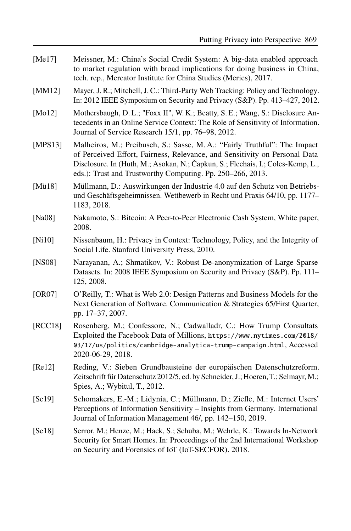<span id="page-12-12"></span><span id="page-12-11"></span><span id="page-12-10"></span><span id="page-12-9"></span><span id="page-12-8"></span><span id="page-12-7"></span><span id="page-12-6"></span><span id="page-12-5"></span><span id="page-12-4"></span><span id="page-12-3"></span><span id="page-12-2"></span><span id="page-12-1"></span><span id="page-12-0"></span>[Me17] Meissner, M.: China's Social Credit System: A big-data enabled approach to market regulation with broad implications for doing business in China, tech. rep., Mercator Institute for China Studies (Merics), 2017. [MM12] Mayer, J. R.; Mitchell, J. C.; Third-Party Web Tracking; Policy and Technology. In: 2012 IEEE Symposium on Security and Privacy (S&P). Pp. 413–427, 2012. [Mo12] Mothersbaugh, D. L.; "Foxx II", W. K.; Beatty, S. E.; Wang, S.: Disclosure Antecedents in an Online Service Context: The Role of Sensitivity of Information. Journal of Service Research 15/1, pp. 76–98, 2012. [MPS13] Malheiros, M.; Preibusch, S.; Sasse, M. A.: "Fairly Truthful": The Impact of Perceived Effort, Fairness, Relevance, and Sensitivity on Personal Data Disclosure. In (Huth, M.; Asokan, N.; Čapkun, S.; Flechais, I.; Coles-Kemp, L., eds.): Trust and Trustworthy Computing. Pp. 250–266, 2013. [Mü18] Müllmann, D.: Auswirkungen der Industrie 4.0 auf den Schutz von Betriebsund Geschäftsgeheimnissen. Wettbewerb in Recht und Praxis 64/10, pp. 1177– 1183.2018. [Na08] Nakamoto, S.: Bitcoin: A Peer-to-Peer Electronic Cash System, White paper, 2008. [Ni10] Nissenbaum, H.: Privacy in Context: Technology, Policy, and the Integrity of Social Life. Stanford University Press, 2010. [NS08] Narayanan, A.; Shmatikov, V.: Robust De-anonymization of Large Sparse Datasets. In: 2008 IEEE Symposium on Security and Privacy (S&P). Pp. 111-125, 2008. [OR07] O'Reilly, T.: What is Web 2.0: Design Patterns and Business Models for the Next Generation of Software. Communication & Strategies 65/First Quarter, pp. 17–37, 2007. [RCC18] Rosenberg, M.; Confessore, N.; Cadwalladr, C.: How Trump Consultats Exploited the Facebook Data of Millions, [https://www.nytimes.com/2018/](https://www.nytimes.com/2018/03/17/us/politics/cambridge-analytica-trump-campaign.html) [03/17/us/politics/cambridge-analytica-trump-campaign.html](https://www.nytimes.com/2018/03/17/us/politics/cambridge-analytica-trump-campaign.html), Accessed 2020-06-29, 2018. [Re12] Reding, V.: Sieben Grundbausteine der europäischen Datenschutzreform. Zeitschrift für Datenschutz 2012/5, ed. by Schneider, J.; Hoeren, T.; Selmayr, M.; Spies, A.; Wybitul, T., 2012. [Sc19] Schomakers, E.-M.; Lidynia, C.; Müllmann, D.; Ziefle, M.: Internet Users' Perceptions of Information Sensitivity – Insights from Germany. International Journal of Information Management 46/, pp. 142-150, 2019. [Se18] Serror, M.; Henze, M.; Hack, S.; Schuba, M.; Wehrle, K.ȷ Towards In-Network Security for Smart Homes. In: Proceedings of the 2nd International Workshop on Security and Forensics of IoT (IoT-SECFOR). 2018.